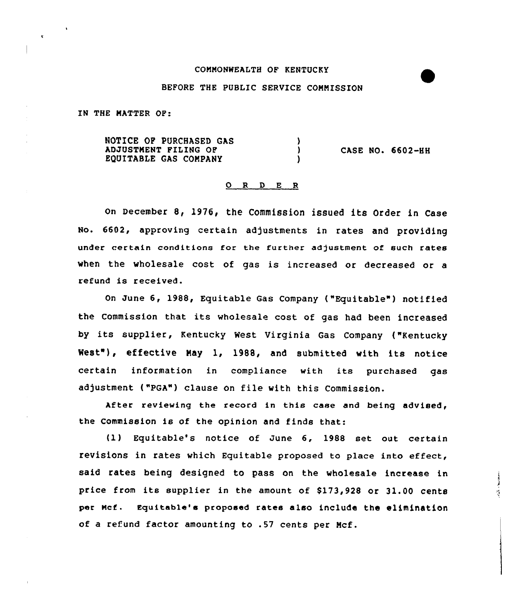## COMMONWEALTH OF KENTUCKY

## BEFORE THE PUBLIC SERVICE COMMISSION

IN THE MATTER OF:

NOTICE OP PURCHASED GAS  $\lambda$ ADJUSTMENT FILING OF  $\mathbf{A}$ CASE NO. 6602-HH EQUITABLE GAS COMPANY <sup>)</sup>

## 0 <sup>R</sup> <sup>D</sup> <sup>E</sup> <sup>R</sup>

on December 8, 1976, the Commission issued its Order in Case No. 6602, approving certain adjustments in rates and providing under certain conditions for the further adjustment of such rates when the wholesale cost of gas is increased or decreased or a refund is received.

On June 6, 1988, Equitable Gas Company ("Equitable") notified the Commission that its wholesale cost of gas had been increased by its supplier, Kentucky West Virginia Gas Company {"Kentucky West"), effective May 1, 1988, and submitted with its notice certain information in compliance with its purchased gas adjustment ("PGA") clause on file with this Commission.

After reviewing the record in this case and being advised, the Commission is of the opinion and finds that:

(1) Equitable's notice of June 6, 1988 set out certain revisions in rates which Equitable proposed to place into effect, said rates being designed to pass on the wholesale increase in price from its supplier in the amount of  $$173,928$  or  $31.00$  cents per Mcf. Equitable's proposed rates also include the elimination of a refund factor amounting to .57 cents per Mcf.

ĵ સું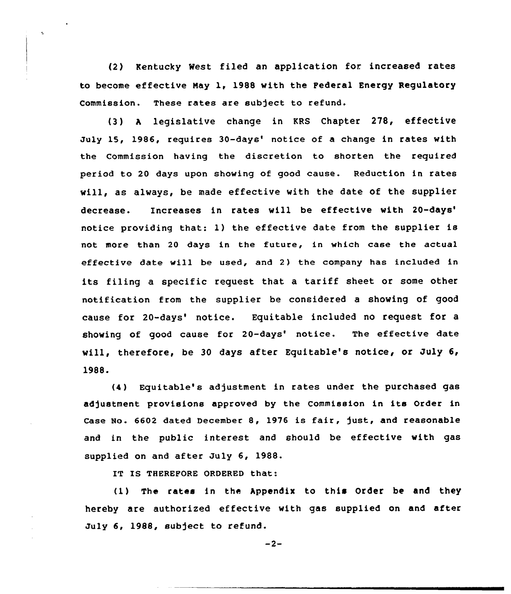(2) Kentucky West filed an application for. increased rates to become effective Nay 1, 1988 with the Federal Energy Regulatory Commission. These rates are subject to refund.

(3) <sup>A</sup> legislative change in KRS Chapter 278, effective July 15, 1986, requires 30-days' notice of a change in rates with the Commission having the discretion to shorten the required period to 20 days upon showing of good cause. Reduction in rates will, as always, be made effective vith the date of the supplier decrease. Increases in rates will be effective with 20-days' notice providing that: 1) the effective date from the supplier is not more than 20 days in the future, in which case the actual effective date will be used, and 2) the company has included in its filing a specific request that <sup>a</sup> tariff sheet or some other notification from the supplier be considered a shoving of good cause for 20-days' notice. Equitable included no request for a showing of good cause for 20-days' notice. The effective date vill, therefore, be 30 days after Equitable's notice, or July 6, 1988.

(4) Equitable's adjustment in rates under the purchased gas adjustment provisions approved by the Commission in its Order in Case No. 6602 dated December 8, 1976 is fair, just, and reasonable and in the public interest and should be effective vith gas supplied on and after July 6, 1988.

IY IS THEREFORE ORDERED that:

(1} The rates in the Appendix to this Order be and they hereby are authorized effective with gas supplied on and after July 6, 1988, subject to refund.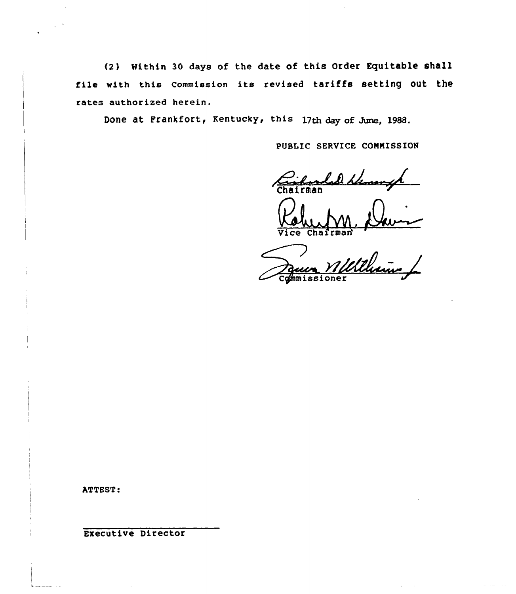(2) Within 30 days of the date of this Order Equitable shall file with this Commission its revised tariffs setting out the rates authorized herein.

Done at Frankfort, Kentucky, this 17th day of June, 1988.

PUBLIC SERVICE COMMISSION

lad blement Chairman

ce Chafrman

vice chairmant<br>Paun Willlleum /  $overline{$ 

ATTEST:

Executive Director